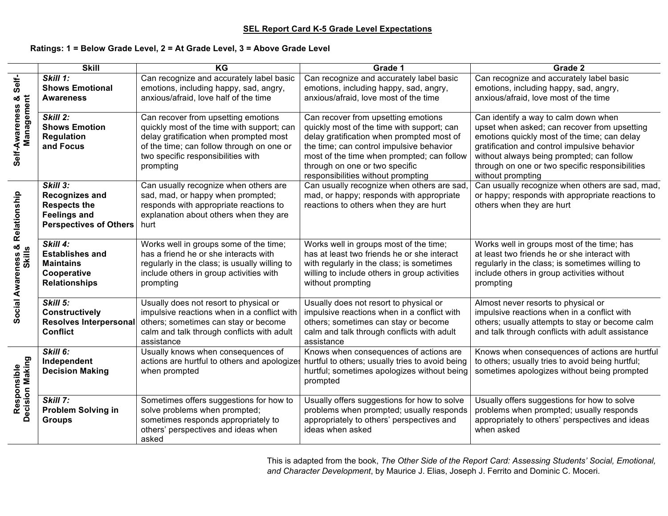### **SEL Report Card K-5 Grade Level Expectations**

#### **Ratings: 1 = Below Grade Level, 2 = At Grade Level, 3 = Above Grade Level**

 $\overline{\phantom{0}}$ 

|                                    | <b>Skill</b>                                                                                                     | KG                                                                                                                                                                                                                          | Grade 1                                                                                                                                                                                                                                                                                          | Grade 2                                                                                                                                                                                                                                                                                                   |
|------------------------------------|------------------------------------------------------------------------------------------------------------------|-----------------------------------------------------------------------------------------------------------------------------------------------------------------------------------------------------------------------------|--------------------------------------------------------------------------------------------------------------------------------------------------------------------------------------------------------------------------------------------------------------------------------------------------|-----------------------------------------------------------------------------------------------------------------------------------------------------------------------------------------------------------------------------------------------------------------------------------------------------------|
| Self-                              | Skill 1:<br><b>Shows Emotional</b><br><b>Awareness</b>                                                           | Can recognize and accurately label basic<br>emotions, including happy, sad, angry,<br>anxious/afraid, love half of the time                                                                                                 | Can recognize and accurately label basic<br>emotions, including happy, sad, angry,<br>anxious/afraid, love most of the time                                                                                                                                                                      | Can recognize and accurately label basic<br>emotions, including happy, sad, angry,<br>anxious/afraid, love most of the time                                                                                                                                                                               |
| Self-Awareness &<br>Management     | <b>Skill 2:</b><br><b>Shows Emotion</b><br><b>Regulation</b><br>and Focus                                        | Can recover from upsetting emotions<br>quickly most of the time with support; can<br>delay gratification when prompted most<br>of the time; can follow through on one or<br>two specific responsibilities with<br>prompting | Can recover from upsetting emotions<br>quickly most of the time with support; can<br>delay gratification when prompted most of<br>the time; can control impulsive behavior<br>most of the time when prompted; can follow<br>through on one or two specific<br>responsibilities without prompting | Can identify a way to calm down when<br>upset when asked; can recover from upsetting<br>emotions quickly most of the time; can delay<br>gratification and control impulsive behavior<br>without always being prompted; can follow<br>through on one or two specific responsibilities<br>without prompting |
| Relationship                       | Skill 3:<br><b>Recognizes and</b><br><b>Respects the</b><br><b>Feelings and</b><br><b>Perspectives of Others</b> | Can usually recognize when others are<br>sad, mad, or happy when prompted;<br>responds with appropriate reactions to<br>explanation about others when they are<br>hurt                                                      | Can usually recognize when others are sad,<br>mad, or happy; responds with appropriate<br>reactions to others when they are hurt                                                                                                                                                                 | Can usually recognize when others are sad, mad,<br>or happy; responds with appropriate reactions to<br>others when they are hurt                                                                                                                                                                          |
| න්<br>Social Awareness &<br>Skills | Skill 4:<br><b>Establishes and</b><br><b>Maintains</b><br>Cooperative<br><b>Relationships</b>                    | Works well in groups some of the time;<br>has a friend he or she interacts with<br>regularly in the class; is usually willing to<br>include others in group activities with<br>prompting                                    | Works well in groups most of the time;<br>has at least two friends he or she interact<br>with regularly in the class; is sometimes<br>willing to include others in group activities<br>without prompting                                                                                         | Works well in groups most of the time; has<br>at least two friends he or she interact with<br>regularly in the class; is sometimes willing to<br>include others in group activities without<br>prompting                                                                                                  |
|                                    | <b>Skill 5:</b><br><b>Constructively</b><br>Resolves Interpersonal<br><b>Conflict</b>                            | Usually does not resort to physical or<br>impulsive reactions when in a conflict with<br>others; sometimes can stay or become<br>calm and talk through conflicts with adult<br>assistance                                   | Usually does not resort to physical or<br>impulsive reactions when in a conflict with<br>others; sometimes can stay or become<br>calm and talk through conflicts with adult<br>assistance                                                                                                        | Almost never resorts to physical or<br>impulsive reactions when in a conflict with<br>others; usually attempts to stay or become calm<br>and talk through conflicts with adult assistance                                                                                                                 |
| Responsible<br>Decision Making     | Skill 6:<br>Independent<br><b>Decision Making</b>                                                                | Usually knows when consequences of<br>actions are hurtful to others and apologizes<br>when prompted                                                                                                                         | Knows when consequences of actions are<br>hurtful to others; usually tries to avoid being<br>hurtful; sometimes apologizes without being<br>prompted                                                                                                                                             | Knows when consequences of actions are hurtful<br>to others; usually tries to avoid being hurtful;<br>sometimes apologizes without being prompted                                                                                                                                                         |
|                                    | Skill 7:<br><b>Problem Solving in</b><br><b>Groups</b>                                                           | Sometimes offers suggestions for how to<br>solve problems when prompted;<br>sometimes responds appropriately to<br>others' perspectives and ideas when<br>asked                                                             | Usually offers suggestions for how to solve<br>problems when prompted; usually responds<br>appropriately to others' perspectives and<br>ideas when asked                                                                                                                                         | Usually offers suggestions for how to solve<br>problems when prompted; usually responds<br>appropriately to others' perspectives and ideas<br>when asked                                                                                                                                                  |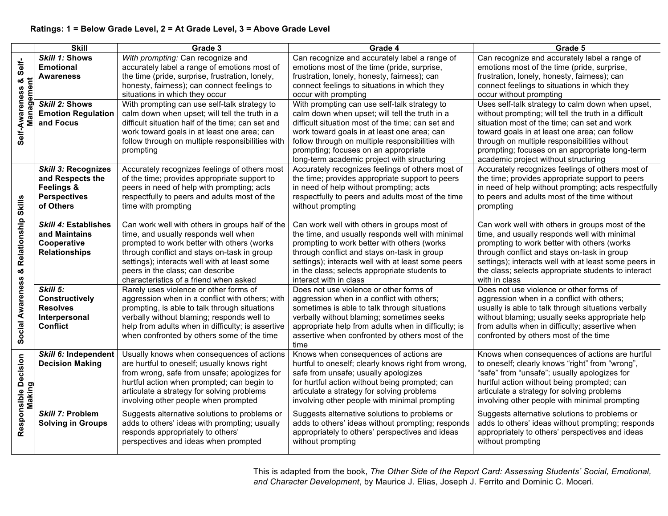|                                                    | <b>Skill</b>              | Grade 3                                           | Grade 4                                             | Grade 5                                               |
|----------------------------------------------------|---------------------------|---------------------------------------------------|-----------------------------------------------------|-------------------------------------------------------|
| Self-<br>න්<br>Φ<br>Self-Awareness<br>Ĕ<br>ag<br>Ŝ | Skill 1: Shows            | With prompting: Can recognize and                 | Can recognize and accurately label a range of       | Can recognize and accurately label a range of         |
|                                                    | <b>Emotional</b>          | accurately label a range of emotions most of      | emotions most of the time (pride, surprise,         | emotions most of the time (pride, surprise,           |
|                                                    | Awareness                 | the time (pride, surprise, frustration, lonely,   | frustration, lonely, honesty, fairness); can        | frustration, lonely, honesty, fairness); can          |
|                                                    |                           | honesty, fairness); can connect feelings to       | connect feelings to situations in which they        | connect feelings to situations in which they          |
|                                                    |                           | situations in which they occur                    | occur with prompting                                | occur without prompting                               |
|                                                    | Skill 2: Shows            | With prompting can use self-talk strategy to      | With prompting can use self-talk strategy to        | Uses self-talk strategy to calm down when upset,      |
|                                                    | <b>Emotion Regulation</b> | calm down when upset; will tell the truth in a    | calm down when upset; will tell the truth in a      | without prompting; will tell the truth in a difficult |
|                                                    | and Focus                 | difficult situation half of the time; can set and | difficult situation most of the time; can set and   | situation most of the time; can set and work          |
|                                                    |                           | work toward goals in at least one area; can       | work toward goals in at least one area; can         | toward goals in at least one area; can follow         |
|                                                    |                           | follow through on multiple responsibilities with  | follow through on multiple responsibilities with    | through on multiple responsibilities without          |
|                                                    |                           | prompting                                         | prompting; focuses on an appropriate                | prompting; focuses on an appropriate long-term        |
|                                                    |                           |                                                   | long-term academic project with structuring         | academic project without structuring                  |
|                                                    | Skill 3: Recognizes       | Accurately recognizes feelings of others most     | Accurately recognizes feelings of others most of    | Accurately recognizes feelings of others most of      |
|                                                    | and Respects the          | of the time; provides appropriate support to      | the time; provides appropriate support to peers     | the time; provides appropriate support to peers       |
|                                                    | Feelings &                | peers in need of help with prompting; acts        | in need of help without prompting; acts             | in need of help without prompting; acts respectfully  |
|                                                    | <b>Perspectives</b>       | respectfully to peers and adults most of the      | respectfully to peers and adults most of the time   | to peers and adults most of the time without          |
| Skills                                             | of Others                 | time with prompting                               | without prompting                                   | prompting                                             |
| & Relationship                                     | Skill 4: Establishes      | Can work well with others in groups half of the   | Can work well with others in groups most of         | Can work well with others in groups most of the       |
|                                                    | and Maintains             | time, and usually responds well when              | the time, and usually responds well with minimal    | time, and usually responds well with minimal          |
|                                                    | Cooperative               | prompted to work better with others (works        | prompting to work better with others (works         | prompting to work better with others (works           |
|                                                    | <b>Relationships</b>      | through conflict and stays on-task in group       | through conflict and stays on-task in group         | through conflict and stays on-task in group           |
|                                                    |                           | settings); interacts well with at least some      | settings); interacts well with at least some peers  | settings); interacts well with at least some peers in |
|                                                    |                           | peers in the class; can describe                  | in the class; selects appropriate students to       | the class; selects appropriate students to interact   |
|                                                    |                           | characteristics of a friend when asked            | interact with in class                              | with in class                                         |
| Social Awareness                                   | Skill 5:                  | Rarely uses violence or other forms of            | Does not use violence or other forms of             | Does not use violence or other forms of               |
|                                                    | <b>Constructively</b>     | aggression when in a conflict with others; with   | aggression when in a conflict with others;          | aggression when in a conflict with others;            |
|                                                    | <b>Resolves</b>           | prompting, is able to talk through situations     | sometimes is able to talk through situations        | usually is able to talk through situations verbally   |
|                                                    | Interpersonal             | verbally without blaming; responds well to        | verbally without blaming; sometimes seeks           | without blaming; usually seeks appropriate help       |
|                                                    | <b>Conflict</b>           | help from adults when in difficulty; is assertive | appropriate help from adults when in difficulty; is | from adults when in difficulty; assertive when        |
|                                                    |                           | when confronted by others some of the time        | assertive when confronted by others most of the     | confronted by others most of the time                 |
|                                                    |                           |                                                   | time                                                |                                                       |
|                                                    | Skill 6: Independent      | Usually knows when consequences of actions        | Knows when consequences of actions are              | Knows when consequences of actions are hurtful        |
| Responsible Decision                               | <b>Decision Making</b>    | are hurtful to oneself; usually knows right       | hurtful to oneself; clearly knows right from wrong, | to oneself; clearly knows "right" from "wrong",       |
|                                                    |                           | from wrong, safe from unsafe; apologizes for      | safe from unsafe; usually apologizes                | "safe" from "unsafe"; usually apologizes for          |
|                                                    |                           | hurtful action when prompted; can begin to        | for hurtful action without being prompted; can      | hurtful action without being prompted; can            |
| aking                                              |                           | articulate a strategy for solving problems        | articulate a strategy for solving problems          | articulate a strategy for solving problems            |
|                                                    |                           | involving other people when prompted              | involving other people with minimal prompting       | involving other people with minimal prompting         |
|                                                    | Skill 7: Problem          | Suggests alternative solutions to problems or     | Suggests alternative solutions to problems or       | Suggests alternative solutions to problems or         |
|                                                    | <b>Solving in Groups</b>  | adds to others' ideas with prompting; usually     | adds to others' ideas without prompting; responds   | adds to others' ideas without prompting; responds     |
|                                                    |                           | responds appropriately to others'                 | appropriately to others' perspectives and ideas     | appropriately to others' perspectives and ideas       |
|                                                    |                           | perspectives and ideas when prompted              | without prompting                                   | without prompting                                     |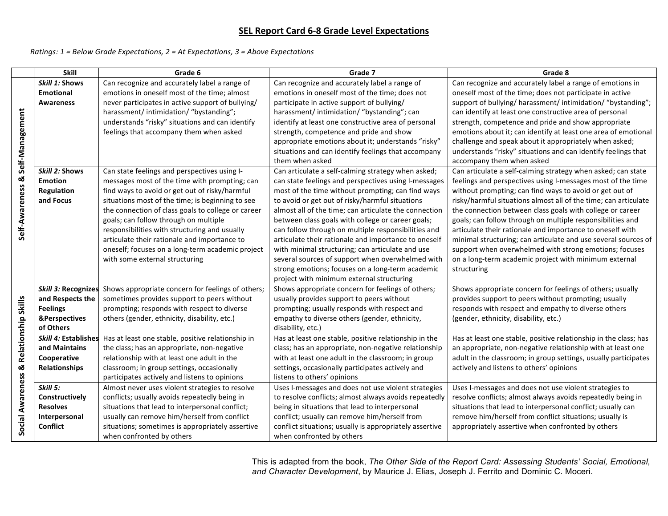## **SEL Report Card 6-8 Grade Level Expectations**

*Ratings: 1* = *Below Grade Expectations, 2* = At *Expectations, 3* = Above *Expectations* 

|                                        | <b>Skill</b>         | Grade 6                                                                                     | Grade 7                                                                                                    | Grade 8                                                                                                                 |
|----------------------------------------|----------------------|---------------------------------------------------------------------------------------------|------------------------------------------------------------------------------------------------------------|-------------------------------------------------------------------------------------------------------------------------|
|                                        | Skill 1: Shows       | Can recognize and accurately label a range of                                               | Can recognize and accurately label a range of                                                              | Can recognize and accurately label a range of emotions in                                                               |
|                                        | <b>Emotional</b>     | emotions in oneself most of the time; almost                                                | emotions in oneself most of the time; does not                                                             | oneself most of the time; does not participate in active                                                                |
|                                        | <b>Awareness</b>     | never participates in active support of bullying/                                           | participate in active support of bullying/                                                                 | support of bullying/ harassment/ intimidation/ "bystanding";                                                            |
|                                        |                      | harassment/intimidation/"bystanding";                                                       | harassment/ intimidation/ "bystanding"; can                                                                | can identify at least one constructive area of personal                                                                 |
|                                        |                      | understands "risky" situations and can identify                                             | identify at least one constructive area of personal                                                        | strength, competence and pride and show appropriate                                                                     |
|                                        |                      | feelings that accompany them when asked                                                     | strength, competence and pride and show                                                                    | emotions about it; can identify at least one area of emotional                                                          |
|                                        |                      |                                                                                             | appropriate emotions about it; understands "risky"                                                         | challenge and speak about it appropriately when asked;                                                                  |
|                                        |                      |                                                                                             | situations and can identify feelings that accompany                                                        | understands "risky" situations and can identify feelings that                                                           |
| Self-Management                        |                      |                                                                                             | them when asked                                                                                            | accompany them when asked                                                                                               |
|                                        | Skill 2: Shows       | Can state feelings and perspectives using I-                                                | Can articulate a self-calming strategy when asked;                                                         | Can articulate a self-calming strategy when asked; can state                                                            |
|                                        | <b>Emotion</b>       | messages most of the time with prompting; can                                               | can state feelings and perspectives using I-messages                                                       | feelings and perspectives using I-messages most of the time                                                             |
|                                        | Regulation           | find ways to avoid or get out of risky/harmful                                              | most of the time without prompting; can find ways                                                          | without prompting; can find ways to avoid or get out of                                                                 |
|                                        | and Focus            | situations most of the time; is beginning to see                                            | to avoid or get out of risky/harmful situations                                                            | risky/harmful situations almost all of the time; can articulate                                                         |
|                                        |                      | the connection of class goals to college or career<br>goals; can follow through on multiple | almost all of the time; can articulate the connection<br>between class goals with college or career goals; | the connection between class goals with college or career<br>goals; can follow through on multiple responsibilities and |
| Self-Awareness &                       |                      | responsibilities with structuring and usually                                               | can follow through on multiple responsibilities and                                                        | articulate their rationale and importance to oneself with                                                               |
|                                        |                      | articulate their rationale and importance to                                                | articulate their rationale and importance to oneself                                                       | minimal structuring; can articulate and use several sources of                                                          |
|                                        |                      | oneself; focuses on a long-term academic project                                            | with minimal structuring; can articulate and use                                                           | support when overwhelmed with strong emotions; focuses                                                                  |
|                                        |                      | with some external structuring                                                              | several sources of support when overwhelmed with                                                           | on a long-term academic project with minimum external                                                                   |
|                                        |                      |                                                                                             | strong emotions; focuses on a long-term academic                                                           | structuring                                                                                                             |
|                                        |                      |                                                                                             | project with minimum external structuring                                                                  |                                                                                                                         |
|                                        | Skill 3: Recognizes  | Shows appropriate concern for feelings of others;                                           | Shows appropriate concern for feelings of others;                                                          | Shows appropriate concern for feelings of others; usually                                                               |
|                                        | and Respects the     | sometimes provides support to peers without                                                 | usually provides support to peers without                                                                  | provides support to peers without prompting; usually                                                                    |
|                                        | <b>Feelings</b>      | prompting; responds with respect to diverse                                                 | prompting; usually responds with respect and                                                               | responds with respect and empathy to diverse others                                                                     |
|                                        | &Perspectives        | others (gender, ethnicity, disability, etc.)                                                | empathy to diverse others (gender, ethnicity,                                                              | (gender, ethnicity, disability, etc.)                                                                                   |
|                                        | of Others            |                                                                                             | disability, etc.)                                                                                          |                                                                                                                         |
|                                        | Skill 4: Establishes | Has at least one stable, positive relationship in                                           | Has at least one stable, positive relationship in the                                                      | Has at least one stable, positive relationship in the class; has                                                        |
|                                        | and Maintains        | the class; has an appropriate, non-negative                                                 | class; has an appropriate, non-negative relationship                                                       | an appropriate, non-negative relationship with at least one                                                             |
|                                        | Cooperative          | relationship with at least one adult in the                                                 | with at least one adult in the classroom; in group                                                         | adult in the classroom; in group settings, usually participates                                                         |
|                                        | <b>Relationships</b> | classroom; in group settings, occasionally                                                  | settings, occasionally participates actively and                                                           | actively and listens to others' opinions                                                                                |
|                                        |                      | participates actively and listens to opinions                                               | listens to others' opinions                                                                                |                                                                                                                         |
|                                        | Skill 5:             | Almost never uses violent strategies to resolve                                             | Uses I-messages and does not use violent strategies                                                        | Uses I-messages and does not use violent strategies to                                                                  |
|                                        | Constructively       | conflicts; usually avoids repeatedly being in                                               | to resolve conflicts; almost always avoids repeatedly                                                      | resolve conflicts; almost always avoids repeatedly being in                                                             |
|                                        | <b>Resolves</b>      | situations that lead to interpersonal conflict;                                             | being in situations that lead to interpersonal                                                             | situations that lead to interpersonal conflict; usually can                                                             |
|                                        | Interpersonal        | usually can remove him/herself from conflict                                                | conflict; usually can remove him/herself from                                                              | remove him/herself from conflict situations; usually is                                                                 |
| Social Awareness & Relationship Skills | <b>Conflict</b>      | situations; sometimes is appropriately assertive                                            | conflict situations; usually is appropriately assertive                                                    | appropriately assertive when confronted by others                                                                       |
|                                        |                      | when confronted by others                                                                   | when confronted by others                                                                                  |                                                                                                                         |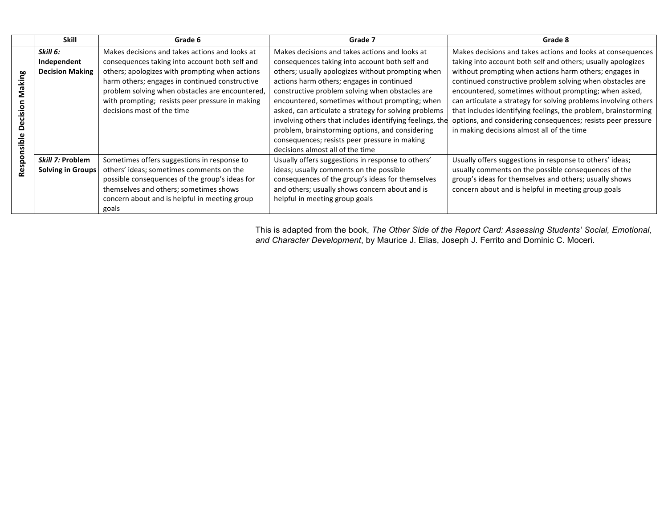|       | Skill                    | Grade 6                                         | Grade 7                                                  | Grade 8                                                         |
|-------|--------------------------|-------------------------------------------------|----------------------------------------------------------|-----------------------------------------------------------------|
|       | Skill 6:                 | Makes decisions and takes actions and looks at  | Makes decisions and takes actions and looks at           | Makes decisions and takes actions and looks at consequences     |
|       | Independent              | consequences taking into account both self and  | consequences taking into account both self and           | taking into account both self and others; usually apologizes    |
|       | <b>Decision Making</b>   | others; apologizes with prompting when actions  | others; usually apologizes without prompting when        | without prompting when actions harm others; engages in          |
| king  |                          | harm others; engages in continued constructive  | actions harm others; engages in continued                | continued constructive problem solving when obstacles are       |
|       |                          | problem solving when obstacles are encountered, | constructive problem solving when obstacles are          | encountered, sometimes without prompting; when asked,           |
|       |                          | with prompting; resists peer pressure in making | encountered, sometimes without prompting; when           | can articulate a strategy for solving problems involving others |
| sio   |                          | decisions most of the time                      | asked, can articulate a strategy for solving problems    | that includes identifying feelings, the problem, brainstorming  |
|       |                          |                                                 | involving others that includes identifying feelings, the | options, and considering consequences; resists peer pressure    |
| ۵     |                          |                                                 | problem, brainstorming options, and considering          | in making decisions almost all of the time                      |
| sible |                          |                                                 | consequences; resists peer pressure in making            |                                                                 |
|       |                          |                                                 | decisions almost all of the time                         |                                                                 |
| Respo | Skill 7: Problem         | Sometimes offers suggestions in response to     | Usually offers suggestions in response to others'        | Usually offers suggestions in response to others' ideas;        |
|       | <b>Solving in Groups</b> | others' ideas; sometimes comments on the        | ideas; usually comments on the possible                  | usually comments on the possible consequences of the            |
|       |                          | possible consequences of the group's ideas for  | consequences of the group's ideas for themselves         | group's ideas for themselves and others; usually shows          |
|       |                          | themselves and others; sometimes shows          | and others; usually shows concern about and is           | concern about and is helpful in meeting group goals             |
|       |                          | concern about and is helpful in meeting group   | helpful in meeting group goals                           |                                                                 |
|       |                          | goals                                           |                                                          |                                                                 |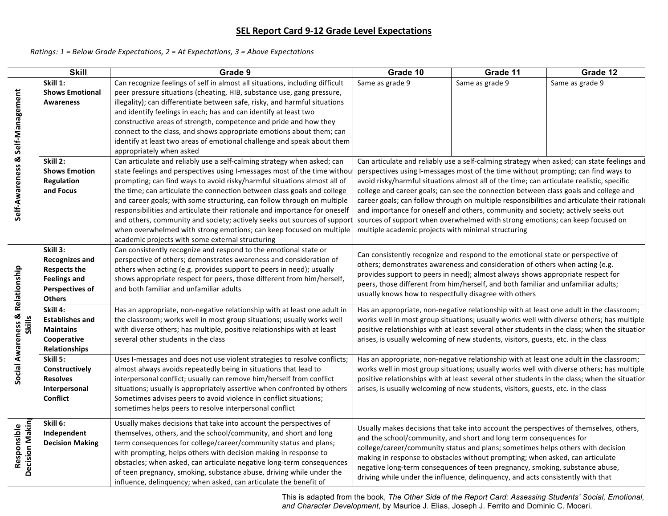# **SEL Report Card 9-12 Grade Level Expectations**

#### *Ratings:* 1 = Below Grade Expectations, 2 = At Expectations, 3 = Above Expectations

 $\sim$  $\sim$ 

|                                  | <b>Skill</b>                     | Grade 9                                                                                                                                             | Grade 10                                                                                  | Grade 11        | Grade 12                                                                                     |
|----------------------------------|----------------------------------|-----------------------------------------------------------------------------------------------------------------------------------------------------|-------------------------------------------------------------------------------------------|-----------------|----------------------------------------------------------------------------------------------|
|                                  | Skill 1:                         | Can recognize feelings of self in almost all situations, including difficult                                                                        | Same as grade 9                                                                           | Same as grade 9 | Same as grade 9                                                                              |
|                                  | <b>Shows Emotional</b>           | peer pressure situations (cheating, HIB, substance use, gang pressure,                                                                              |                                                                                           |                 |                                                                                              |
|                                  | <b>Awareness</b>                 | illegality); can differentiate between safe, risky, and harmful situations                                                                          |                                                                                           |                 |                                                                                              |
|                                  |                                  | and identify feelings in each; has and can identify at least two                                                                                    |                                                                                           |                 |                                                                                              |
|                                  |                                  | constructive areas of strength, competence and pride and how they                                                                                   |                                                                                           |                 |                                                                                              |
|                                  |                                  | connect to the class, and shows appropriate emotions about them; can                                                                                |                                                                                           |                 |                                                                                              |
|                                  |                                  | identify at least two areas of emotional challenge and speak about them                                                                             |                                                                                           |                 |                                                                                              |
| Self-Awareness & Self-Management |                                  | appropriately when asked                                                                                                                            |                                                                                           |                 |                                                                                              |
|                                  | Skill 2:<br><b>Shows Emotion</b> | Can articulate and reliably use a self-calming strategy when asked; can<br>state feelings and perspectives using I-messages most of the time withou | perspectives using I-messages most of the time without prompting; can find ways to        |                 | Can articulate and reliably use a self-calming strategy when asked; can state feelings and   |
|                                  | <b>Regulation</b>                | prompting; can find ways to avoid risky/harmful situations almost all of                                                                            | avoid risky/harmful situations almost all of the time; can articulate realistic, specific |                 |                                                                                              |
|                                  | and Focus                        | the time; can articulate the connection between class goals and college                                                                             | college and career goals; can see the connection between class goals and college and      |                 |                                                                                              |
|                                  |                                  | and career goals; with some structuring, can follow through on multiple                                                                             |                                                                                           |                 | career goals; can follow through on multiple responsibilities and articulate their rational  |
|                                  |                                  | responsibilities and articulate their rationale and importance for oneself                                                                          | and importance for oneself and others, community and society; actively seeks out          |                 |                                                                                              |
|                                  |                                  | and others, community and society; actively seeks out sources of support                                                                            | sources of support when overwhelmed with strong emotions; can keep focused on             |                 |                                                                                              |
|                                  |                                  | when overwhelmed with strong emotions; can keep focused on multiple                                                                                 | multiple academic projects with minimal structuring                                       |                 |                                                                                              |
|                                  |                                  | academic projects with some external structuring                                                                                                    |                                                                                           |                 |                                                                                              |
|                                  | Skill 3:                         | Can consistently recognize and respond to the emotional state or                                                                                    | Can consistently recognize and respond to the emotional state or perspective of           |                 |                                                                                              |
|                                  | <b>Recognizes and</b>            | perspective of others; demonstrates awareness and consideration of                                                                                  | others; demonstrates awareness and consideration of others when acting (e.g.              |                 |                                                                                              |
|                                  | <b>Respects the</b>              | others when acting (e.g. provides support to peers in need); usually                                                                                | provides support to peers in need); almost always shows appropriate respect for           |                 |                                                                                              |
|                                  | <b>Feelings and</b>              | shows appropriate respect for peers, those different from him/herself,                                                                              | peers, those different from him/herself, and both familiar and unfamiliar adults;         |                 |                                                                                              |
|                                  | <b>Perspectives of</b>           | and both familiar and unfamiliar adults                                                                                                             | usually knows how to respectfully disagree with others                                    |                 |                                                                                              |
| Social Awareness & Relationship  | <b>Others</b>                    |                                                                                                                                                     |                                                                                           |                 |                                                                                              |
|                                  | Skill 4:                         | Has an appropriate, non-negative relationship with at least one adult in                                                                            | Has an appropriate, non-negative relationship with at least one adult in the classroom;   |                 |                                                                                              |
| <b>Skills</b>                    | <b>Establishes and</b>           | the classroom; works well in most group situations; usually works well                                                                              |                                                                                           |                 | works well in most group situations; usually works well with diverse others; has multiple    |
|                                  | <b>Maintains</b><br>Cooperative  | with diverse others; has multiple, positive relationships with at least<br>several other students in the class                                      | arises, is usually welcoming of new students, visitors, guests, etc. in the class         |                 | positive relationships with at least several other students in the class; when the situation |
|                                  | Relationships                    |                                                                                                                                                     |                                                                                           |                 |                                                                                              |
|                                  | Skill 5:                         | Uses I-messages and does not use violent strategies to resolve conflicts;                                                                           | Has an appropriate, non-negative relationship with at least one adult in the classroom;   |                 |                                                                                              |
|                                  | Constructively                   | almost always avoids repeatedly being in situations that lead to                                                                                    |                                                                                           |                 | works well in most group situations; usually works well with diverse others; has multiple    |
|                                  | <b>Resolves</b>                  | interpersonal conflict; usually can remove him/herself from conflict                                                                                |                                                                                           |                 | positive relationships with at least several other students in the class; when the situation |
|                                  | Interpersonal                    | situations; usually is appropriately assertive when confronted by others                                                                            | arises, is usually welcoming of new students, visitors, guests, etc. in the class         |                 |                                                                                              |
|                                  | <b>Conflict</b>                  | Sometimes advises peers to avoid violence in conflict situations;                                                                                   |                                                                                           |                 |                                                                                              |
|                                  |                                  | sometimes helps peers to resolve interpersonal conflict                                                                                             |                                                                                           |                 |                                                                                              |
|                                  | Skill 6:                         | Usually makes decisions that take into account the perspectives of                                                                                  |                                                                                           |                 |                                                                                              |
| Decision Makin<br>Responsible    | Independent                      | themselves, others, and the school/community, and short and long                                                                                    | Usually makes decisions that take into account the perspectives of themselves, others,    |                 |                                                                                              |
|                                  | <b>Decision Making</b>           | term consequences for college/career/community status and plans;                                                                                    | and the school/community, and short and long term consequences for                        |                 |                                                                                              |
|                                  |                                  | with prompting, helps others with decision making in response to                                                                                    | college/career/community status and plans; sometimes helps others with decision           |                 |                                                                                              |
|                                  |                                  | obstacles; when asked, can articulate negative long-term consequences                                                                               | making in response to obstacles without prompting; when asked, can articulate             |                 |                                                                                              |
|                                  |                                  | of teen pregnancy, smoking, substance abuse, driving while under the                                                                                | negative long-term consequences of teen pregnancy, smoking, substance abuse,              |                 |                                                                                              |
|                                  |                                  | influence, delinquency; when asked, can articulate the benefit of                                                                                   | driving while under the influence, delinquency, and acts consistently with that           |                 |                                                                                              |